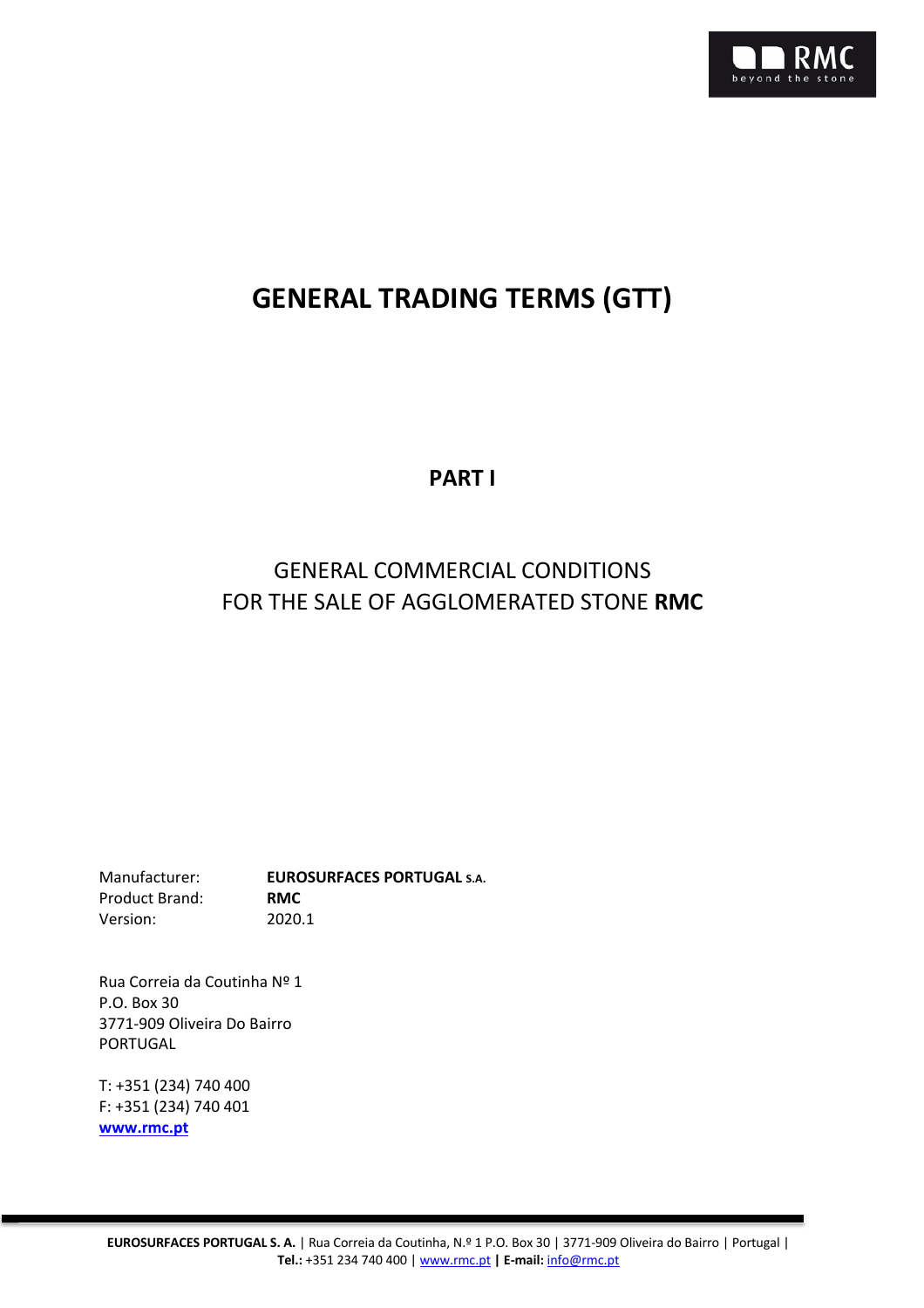

# **GENERAL TRADING TERMS (GTT)**

**PART I**

# GENERAL COMMERCIAL CONDITIONS FOR THE SALE OF AGGLOMERATED STONE **RMC**

Manufacturer: **EUROSURFACES PORTUGAL S.A.** Product Brand: **RMC** Version: 2020.1

Rua Correia da Coutinha Nº 1 P.O. Box 30 3771-909 Oliveira Do Bairro PORTUGAL

T: +351 (234) 740 400 F: +351 (234) 740 401 **www.rmc.pt**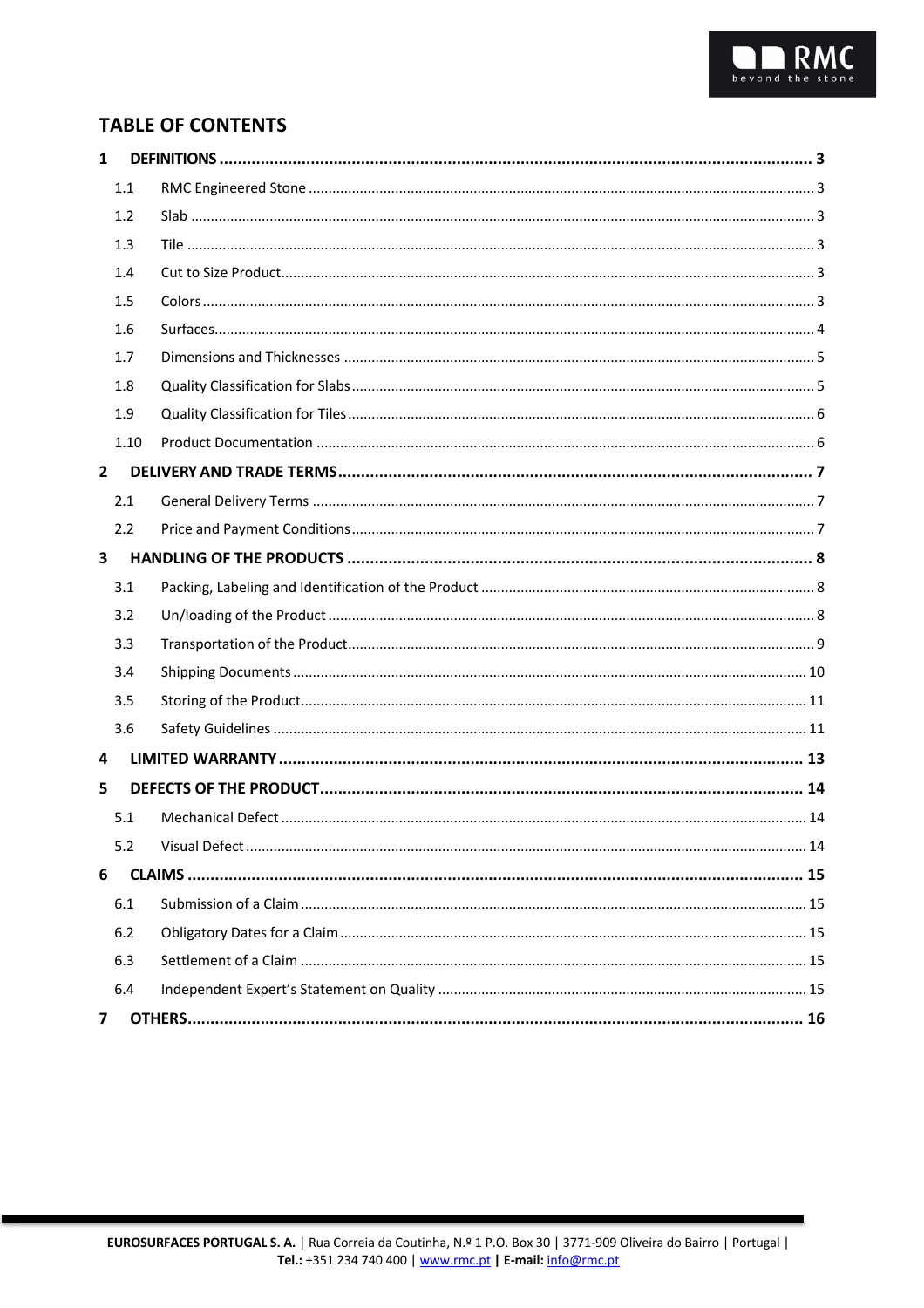# **TABLE OF CONTENTS**

| $\mathbf{1}$ |      |  |
|--------------|------|--|
|              | 1.1  |  |
|              | 1.2  |  |
|              | 1.3  |  |
|              | 1.4  |  |
|              | 1.5  |  |
|              | 1.6  |  |
|              | 1.7  |  |
|              | 1.8  |  |
|              | 1.9  |  |
|              | 1.10 |  |
| $\mathbf{2}$ |      |  |
|              | 2.1  |  |
|              | 2.2  |  |
| 3            |      |  |
|              | 3.1  |  |
|              | 3.2  |  |
|              | 3.3  |  |
|              | 3.4  |  |
|              | 3.5  |  |
|              | 3.6  |  |
| 4            |      |  |
| 5            |      |  |
|              | 5.1  |  |
|              |      |  |
| 6            |      |  |
|              | 6.1  |  |
|              | 6.2  |  |
|              | 6.3  |  |
|              | 6.4  |  |
| 7            |      |  |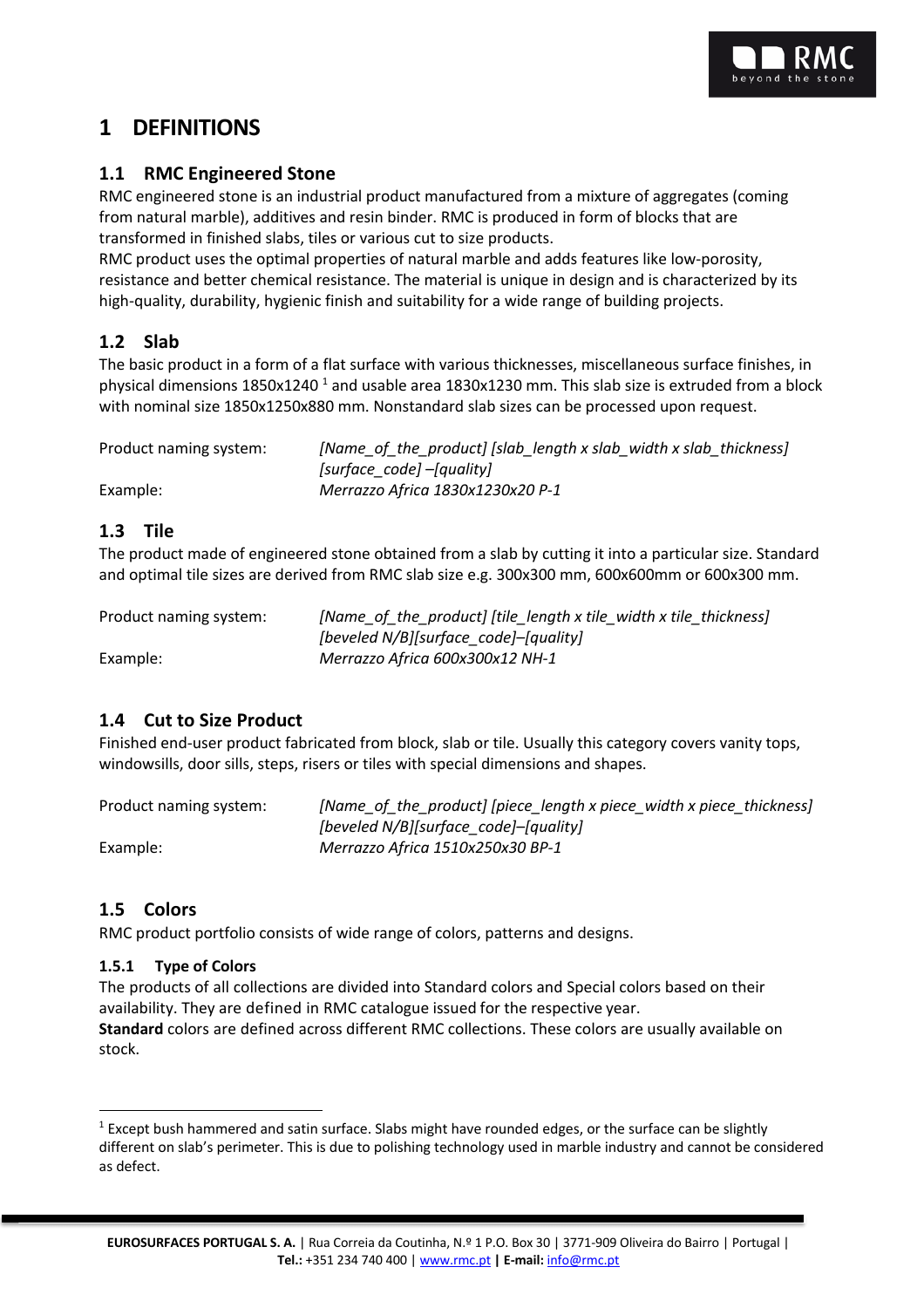

# **1 DEFINITIONS**

## **1.1 RMC Engineered Stone**

RMC engineered stone is an industrial product manufactured from a mixture of aggregates (coming from natural marble), additives and resin binder. RMC is produced in form of blocks that are transformed in finished slabs, tiles or various cut to size products.

RMC product uses the optimal properties of natural marble and adds features like low-porosity, resistance and better chemical resistance. The material is unique in design and is characterized by its high-quality, durability, hygienic finish and suitability for a wide range of building projects.

## **1.2 Slab**

The basic product in a form of a flat surface with various thicknesses, miscellaneous surface finishes, in physical dimensions 1850x1240<sup>1</sup> and usable area 1830x1230 mm. This slab size is extruded from a block with nominal size 1850x1250x880 mm. Nonstandard slab sizes can be processed upon request.

| Product naming system: | [Name of the product] [slab length x slab width x slab thickness] |
|------------------------|-------------------------------------------------------------------|
|                        | [surface code] –[quality]                                         |
| Example:               | Merrazzo Africa 1830x1230x20 P-1                                  |

## **1.3 Tile**

The product made of engineered stone obtained from a slab by cutting it into a particular size. Standard and optimal tile sizes are derived from RMC slab size e.g. 300x300 mm, 600x600mm or 600x300 mm.

| Product naming system: | [Name_of_the_product] [tile_length x tile_width x tile_thickness] |
|------------------------|-------------------------------------------------------------------|
|                        | [beveled N/B][surface_code]-[quality]                             |
| Example:               | Merrazzo Africa 600x300x12 NH-1                                   |

# **1.4 Cut to Size Product**

Finished end-user product fabricated from block, slab or tile. Usually this category covers vanity tops, windowsills, door sills, steps, risers or tiles with special dimensions and shapes.

| Product naming system: | [Name_of_the_product] [piece_length x piece_width x piece_thickness] |
|------------------------|----------------------------------------------------------------------|
|                        | [beveled N/B][surface_code]-[quality]                                |
| Example:               | Merrazzo Africa 1510x250x30 BP-1                                     |

# **1.5 Colors**

RMC product portfolio consists of wide range of colors, patterns and designs.

## **1.5.1 Type of Colors**

The products of all collections are divided into Standard colors and Special colors based on their availability. They are defined in RMC catalogue issued for the respective year. **Standard** colors are defined across different RMC collections. These colors are usually available on stock.

 $<sup>1</sup>$  Except bush hammered and satin surface. Slabs might have rounded edges, or the surface can be slightly</sup> different on slab's perimeter. This is due to polishing technology used in marble industry and cannot be considered as defect.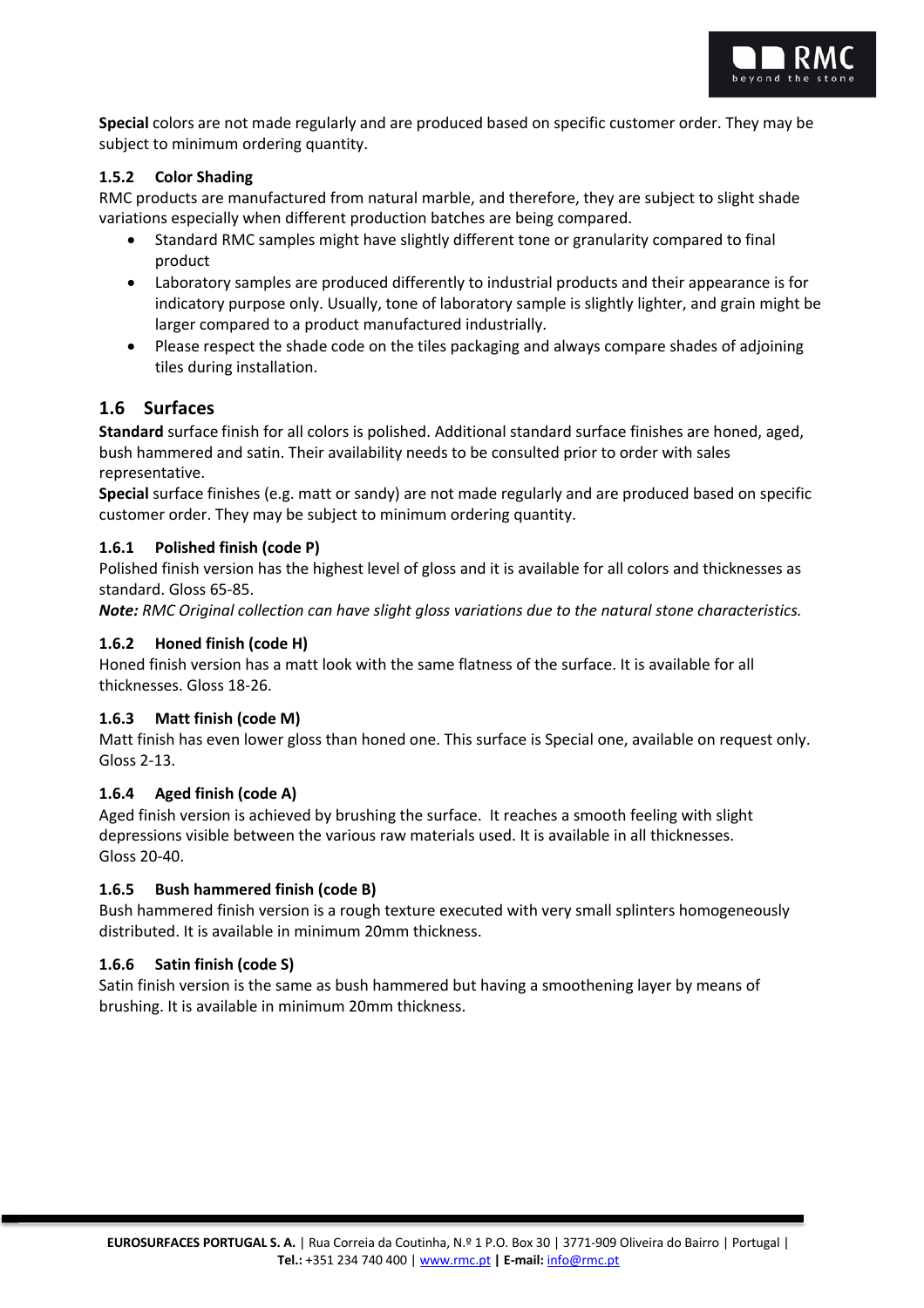

**Special** colors are not made regularly and are produced based on specific customer order. They may be subject to minimum ordering quantity.

#### **1.5.2 Color Shading**

RMC products are manufactured from natural marble, and therefore, they are subject to slight shade variations especially when different production batches are being compared.

- Standard RMC samples might have slightly different tone or granularity compared to final product
- Laboratory samples are produced differently to industrial products and their appearance is for indicatory purpose only. Usually, tone of laboratory sample is slightly lighter, and grain might be larger compared to a product manufactured industrially.
- Please respect the shade code on the tiles packaging and always compare shades of adjoining tiles during installation.

#### **1.6 Surfaces**

**Standard** surface finish for all colors is polished. Additional standard surface finishes are honed, aged, bush hammered and satin. Their availability needs to be consulted prior to order with sales representative.

**Special** surface finishes (e.g. matt or sandy) are not made regularly and are produced based on specific customer order. They may be subject to minimum ordering quantity.

#### **1.6.1 Polished finish (code P)**

Polished finish version has the highest level of gloss and it is available for all colors and thicknesses as standard. Gloss 65-85.

*Note: RMC Original collection can have slight gloss variations due to the natural stone characteristics.*

#### **1.6.2 Honed finish (code H)**

Honed finish version has a matt look with the same flatness of the surface. It is available for all thicknesses. Gloss 18-26.

#### **1.6.3 Matt finish (code M)**

Matt finish has even lower gloss than honed one. This surface is Special one, available on request only. Gloss 2-13.

#### **1.6.4 Aged finish (code A)**

Aged finish version is achieved by brushing the surface. It reaches a smooth feeling with slight depressions visible between the various raw materials used. It is available in all thicknesses. Gloss 20-40.

#### **1.6.5 Bush hammered finish (code B)**

Bush hammered finish version is a rough texture executed with very small splinters homogeneously distributed. It is available in minimum 20mm thickness.

#### **1.6.6 Satin finish (code S)**

Satin finish version is the same as bush hammered but having a smoothening layer by means of brushing. It is available in minimum 20mm thickness.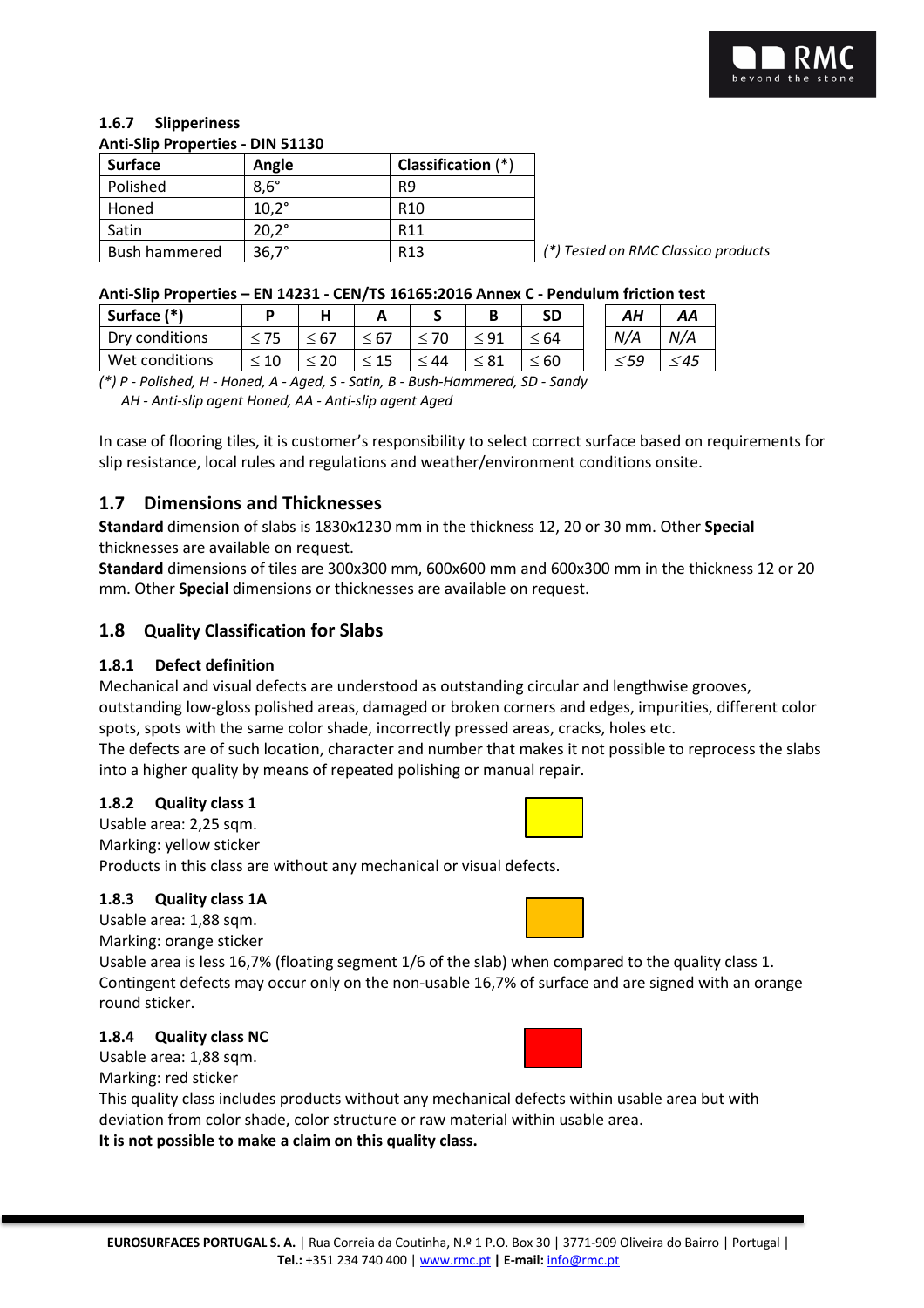

#### **1.6.7 Slipperiness Anti-Slip Properties - DIN 51130**

| <b>Surface</b>       | Angle          | Classification $(*)$ |
|----------------------|----------------|----------------------|
| Polished             | $8.6^\circ$    | R <sub>9</sub>       |
| Honed                | $10.2^{\circ}$ | R <sub>10</sub>      |
| Satin                | $20.2^{\circ}$ | R <sub>11</sub>      |
| <b>Bush hammered</b> | $36.7^\circ$   | R <sub>13</sub>      |

Bush hammered 36,7° R13 *(\*) Tested on RMC Classico products*

#### **Anti-Slip Properties – EN 14231 - CEN/TS 16165:2016 Annex C - Pendulum friction test**

| Surface (*)    |  |      |    |           | SD   | АΗ  | AA  |
|----------------|--|------|----|-----------|------|-----|-----|
| Dry conditions |  | : 67 |    | ۹1        | 64   | N/A | N/A |
| Wet conditions |  |      | 44 | $\leq 81$ | : 60 | ≤59 | 45  |

*(\*) P - Polished, H - Honed, A - Aged, S - Satin, B - Bush-Hammered, SD - Sandy AH - Anti-slip agent Honed, AA - Anti-slip agent Aged*

In case of flooring tiles, it is customer's responsibility to select correct surface based on requirements for slip resistance, local rules and regulations and weather/environment conditions onsite.

## **1.7 Dimensions and Thicknesses**

**Standard** dimension of slabs is 1830x1230 mm in the thickness 12, 20 or 30 mm. Other **Special** thicknesses are available on request.

**Standard** dimensions of tiles are 300x300 mm, 600x600 mm and 600x300 mm in the thickness 12 or 20 mm. Other **Special** dimensions or thicknesses are available on request.

## **1.8 Quality Classification for Slabs**

#### **1.8.1 Defect definition**

Mechanical and visual defects are understood as outstanding circular and lengthwise grooves,

outstanding low-gloss polished areas, damaged or broken corners and edges, impurities, different color spots, spots with the same color shade, incorrectly pressed areas, cracks, holes etc.

The defects are of such location, character and number that makes it not possible to reprocess the slabs into a higher quality by means of repeated polishing or manual repair.

#### **1.8.2 Quality class 1**

Usable area: 2,25 sqm. Marking: yellow sticker Products in this class are without any mechanical or visual defects.

#### **1.8.3 Quality class 1A**

Usable area: 1,88 sqm. Marking: orange sticker

Usable area is less 16,7% (floating segment 1/6 of the slab) when compared to the quality class 1. Contingent defects may occur only on the non-usable 16,7% of surface and are signed with an orange round sticker.

#### **1.8.4 Quality class NC**



Usable area: 1,88 sqm. Marking: red sticker

This quality class includes products without any mechanical defects within usable area but with deviation from color shade, color structure or raw material within usable area. **It is not possible to make a claim on this quality class.**

#### **EUROSURFACES PORTUGAL S. A.** | Rua Correia da Coutinha, N.º 1 P.O. Box 30 | 3771-909 Oliveira do Bairro | Portugal | **Tel.:** +351 234 740 400 | www.rmc.pt **| E-mail:** info@rmc.pt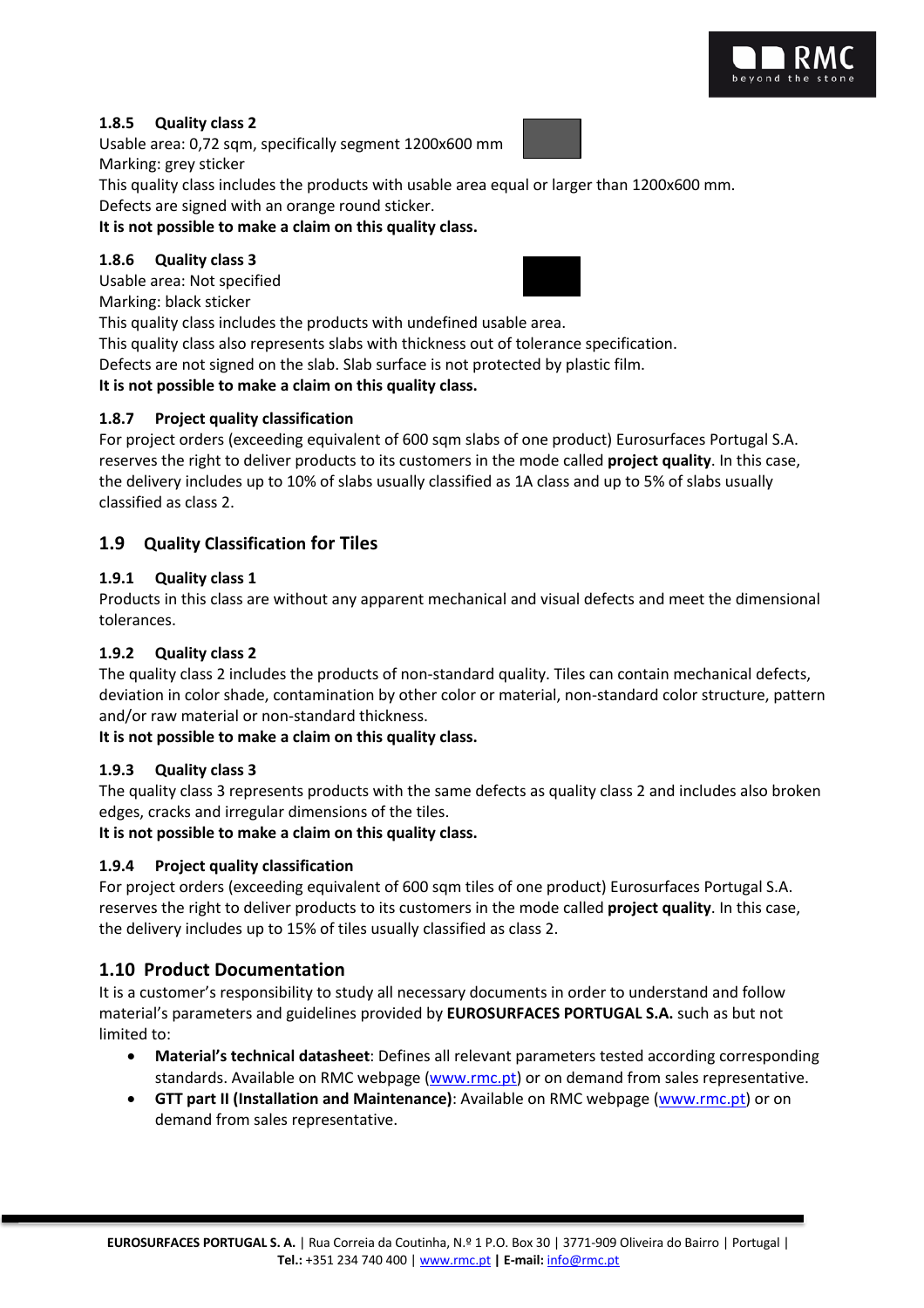

#### **1.8.5 Quality class 2**

Usable area: 0,72 sqm, specifically segment 1200x600 mm

Marking: grey sticker

This quality class includes the products with usable area equal or larger than 1200x600 mm. Defects are signed with an orange round sticker.

## **It is not possible to make a claim on this quality class.**

#### **1.8.6 Quality class 3**

Usable area: Not specified





This quality class includes the products with undefined usable area.

This quality class also represents slabs with thickness out of tolerance specification.

Defects are not signed on the slab. Slab surface is not protected by plastic film.

**It is not possible to make a claim on this quality class.**

## **1.8.7 Project quality classification**

For project orders (exceeding equivalent of 600 sqm slabs of one product) Eurosurfaces Portugal S.A. reserves the right to deliver products to its customers in the mode called **project quality**. In this case, the delivery includes up to 10% of slabs usually classified as 1A class and up to 5% of slabs usually classified as class 2.

## **1.9 Quality Classification for Tiles**

## **1.9.1 Quality class 1**

Products in this class are without any apparent mechanical and visual defects and meet the dimensional tolerances.

#### **1.9.2 Quality class 2**

The quality class 2 includes the products of non-standard quality. Tiles can contain mechanical defects, deviation in color shade, contamination by other color or material, non-standard color structure, pattern and/or raw material or non-standard thickness.

**It is not possible to make a claim on this quality class.**

## **1.9.3 Quality class 3**

The quality class 3 represents products with the same defects as quality class 2 and includes also broken edges, cracks and irregular dimensions of the tiles.

**It is not possible to make a claim on this quality class.**

## **1.9.4 Project quality classification**

For project orders (exceeding equivalent of 600 sqm tiles of one product) Eurosurfaces Portugal S.A. reserves the right to deliver products to its customers in the mode called **project quality**. In this case, the delivery includes up to 15% of tiles usually classified as class 2.

## **1.10 Product Documentation**

It is a customer's responsibility to study all necessary documents in order to understand and follow material's parameters and guidelines provided by **EUROSURFACES PORTUGAL S.A.** such as but not limited to:

- **Material's technical datasheet**: Defines all relevant parameters tested according corresponding standards. Available on RMC webpage (www.rmc.pt) or on demand from sales representative.
- **GTT part II (Installation and Maintenance)**: Available on RMC webpage (www.rmc.pt) or on demand from sales representative.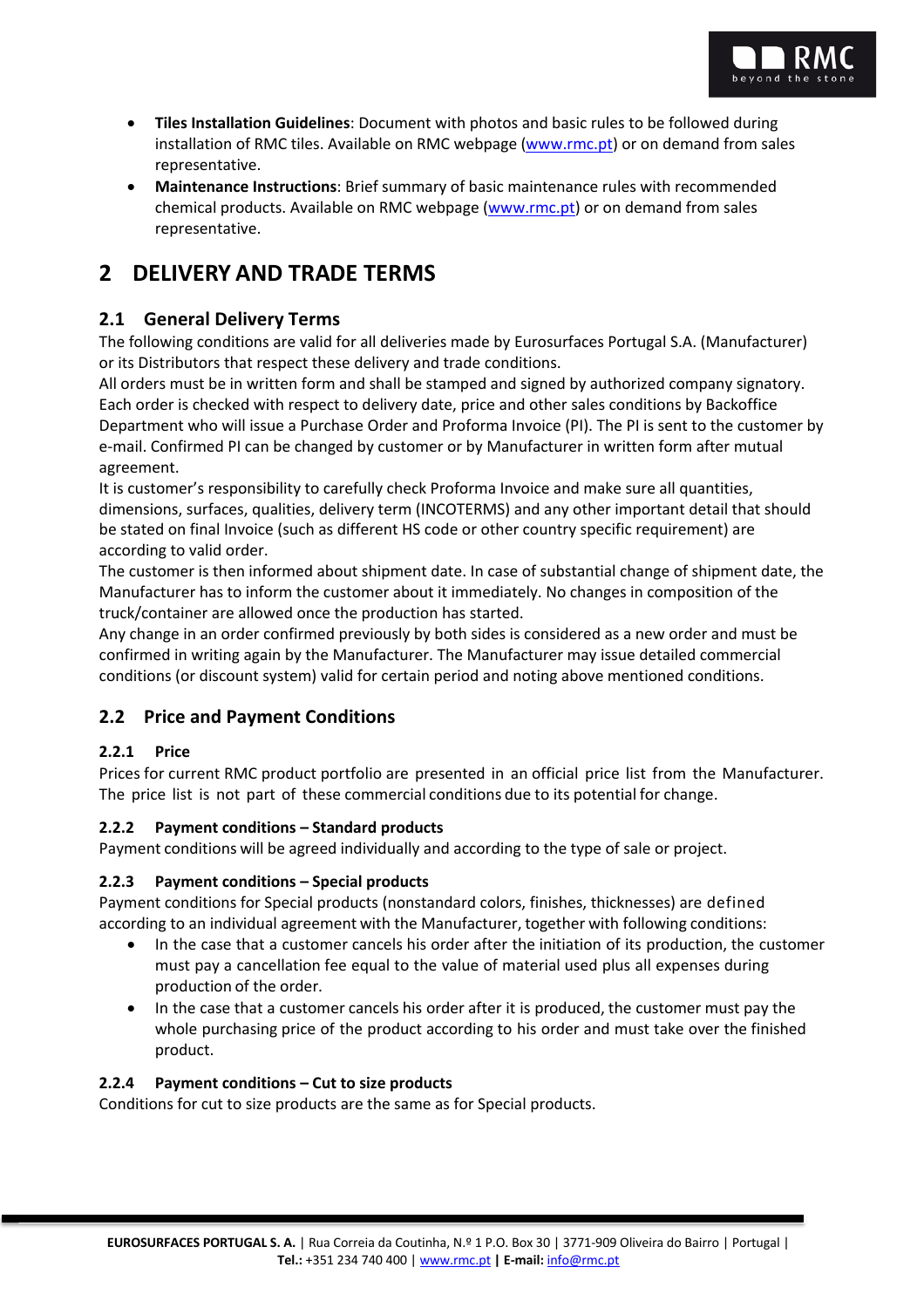

- **Tiles Installation Guidelines**: Document with photos and basic rules to be followed during installation of RMC tiles. Available on RMC webpage (www.rmc.pt) or on demand from sales representative.
- **Maintenance Instructions**: Brief summary of basic maintenance rules with recommended chemical products. Available on RMC webpage (www.rmc.pt) or on demand from sales representative.

# **2 DELIVERY AND TRADE TERMS**

# **2.1 General Delivery Terms**

The following conditions are valid for all deliveries made by Eurosurfaces Portugal S.A. (Manufacturer) or its Distributors that respect these delivery and trade conditions.

All orders must be in written form and shall be stamped and signed by authorized company signatory. Each order is checked with respect to delivery date, price and other sales conditions by Backoffice Department who will issue a Purchase Order and Proforma Invoice (PI). The PI is sent to the customer by e-mail. Confirmed PI can be changed by customer or by Manufacturer in written form after mutual agreement.

It is customer's responsibility to carefully check Proforma Invoice and make sure all quantities, dimensions, surfaces, qualities, delivery term (INCOTERMS) and any other important detail that should be stated on final Invoice (such as different HS code or other country specific requirement) are according to valid order.

The customer is then informed about shipment date. In case of substantial change of shipment date, the Manufacturer has to inform the customer about it immediately. No changes in composition of the truck/container are allowed once the production has started.

Any change in an order confirmed previously by both sides is considered as a new order and must be confirmed in writing again by the Manufacturer. The Manufacturer may issue detailed commercial conditions (or discount system) valid for certain period and noting above mentioned conditions.

## **2.2 Price and Payment Conditions**

## **2.2.1 Price**

Prices for current RMC product portfolio are presented in an official price list from the Manufacturer. The price list is not part of these commercial conditions due to its potential for change.

## **2.2.2 Payment conditions – Standard products**

Payment conditions will be agreed individually and according to the type of sale or project.

## **2.2.3 Payment conditions – Special products**

Payment conditions for Special products (nonstandard colors, finishes, thicknesses) are defined according to an individual agreement with the Manufacturer, together with following conditions:

- In the case that a customer cancels his order after the initiation of its production, the customer must pay a cancellation fee equal to the value of material used plus all expenses during production of the order.
- In the case that a customer cancels his order after it is produced, the customer must pay the whole purchasing price of the product according to his order and must take over the finished product.

## **2.2.4 Payment conditions – Cut to size products**

Conditions for cut to size products are the same as for Special products.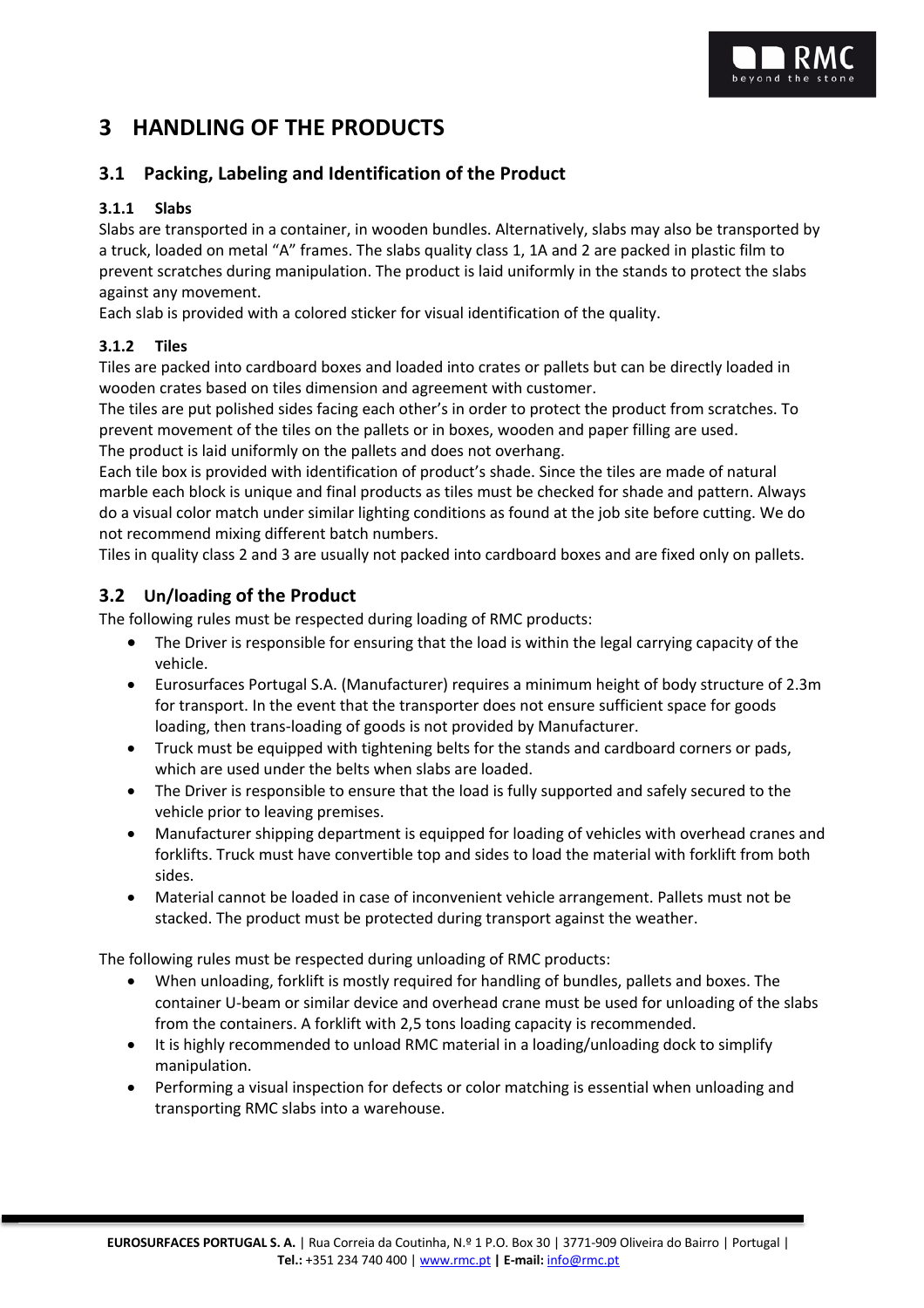# **3 HANDLING OF THE PRODUCTS**

## **3.1 Packing, Labeling and Identification of the Product**

#### **3.1.1 Slabs**

Slabs are transported in a container, in wooden bundles. Alternatively, slabs may also be transported by a truck, loaded on metal "A" frames. The slabs quality class 1, 1A and 2 are packed in plastic film to prevent scratches during manipulation. The product is laid uniformly in the stands to protect the slabs against any movement.

Each slab is provided with a colored sticker for visual identification of the quality.

#### **3.1.2 Tiles**

Tiles are packed into cardboard boxes and loaded into crates or pallets but can be directly loaded in wooden crates based on tiles dimension and agreement with customer.

The tiles are put polished sides facing each other's in order to protect the product from scratches. To prevent movement of the tiles on the pallets or in boxes, wooden and paper filling are used. The product is laid uniformly on the pallets and does not overhang.

Each tile box is provided with identification of product's shade. Since the tiles are made of natural marble each block is unique and final products as tiles must be checked for shade and pattern. Always do a visual color match under similar lighting conditions as found at the job site before cutting. We do not recommend mixing different batch numbers.

Tiles in quality class 2 and 3 are usually not packed into cardboard boxes and are fixed only on pallets.

## **3.2 Un/loading of the Product**

The following rules must be respected during loading of RMC products:

- The Driver is responsible for ensuring that the load is within the legal carrying capacity of the vehicle.
- Eurosurfaces Portugal S.A. (Manufacturer) requires a minimum height of body structure of 2.3m for transport. In the event that the transporter does not ensure sufficient space for goods loading, then trans-loading of goods is not provided by Manufacturer.
- Truck must be equipped with tightening belts for the stands and cardboard corners or pads, which are used under the belts when slabs are loaded.
- The Driver is responsible to ensure that the load is fully supported and safely secured to the vehicle prior to leaving premises.
- Manufacturer shipping department is equipped for loading of vehicles with overhead cranes and forklifts. Truck must have convertible top and sides to load the material with forklift from both sides.
- Material cannot be loaded in case of inconvenient vehicle arrangement. Pallets must not be stacked. The product must be protected during transport against the weather.

The following rules must be respected during unloading of RMC products:

- When unloading, forklift is mostly required for handling of bundles, pallets and boxes. The container U-beam or similar device and overhead crane must be used for unloading of the slabs from the containers. A forklift with 2,5 tons loading capacity is recommended.
- It is highly recommended to unload RMC material in a loading/unloading dock to simplify manipulation.
- Performing a visual inspection for defects or color matching is essential when unloading and transporting RMC slabs into a warehouse.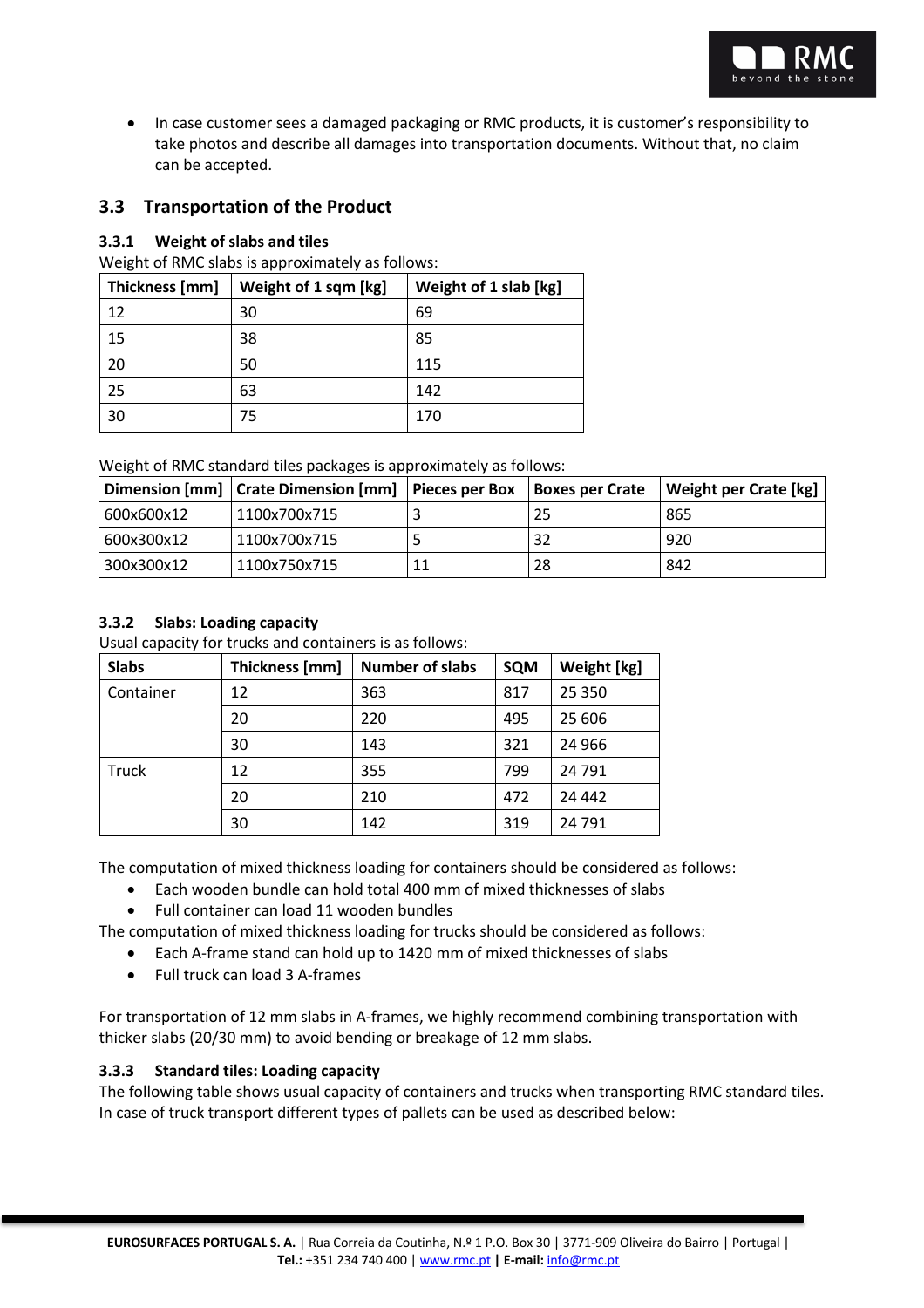

• In case customer sees a damaged packaging or RMC products, it is customer's responsibility to take photos and describe all damages into transportation documents. Without that, no claim can be accepted.

## **3.3 Transportation of the Product**

#### **3.3.1 Weight of slabs and tiles**

Weight of RMC slabs is approximately as follows:

| Thickness [mm] | Weight of 1 sqm [kg] | Weight of 1 slab [kg] |
|----------------|----------------------|-----------------------|
| 12             | 30                   | 69                    |
| 15             | 38                   | 85                    |
| 20             | 50                   | 115                   |
| 25             | 63                   | 142                   |
| 30             | 75                   | 170                   |

Weight of RMC standard tiles packages is approximately as follows:

|            | Dimension [mm]   Crate Dimension [mm]   Pieces per Box | <b>Boxes per Crate</b> | Weight per Crate [kg] |
|------------|--------------------------------------------------------|------------------------|-----------------------|
| 600x600x12 | 1100x700x715                                           | 25                     | 865                   |
| 600x300x12 | 1100x700x715                                           |                        | 920                   |
| 300x300x12 | 1100x750x715                                           | 28                     | 842                   |

## **3.3.2 Slabs: Loading capacity**

Usual capacity for trucks and containers is as follows:

| <b>Slabs</b> | Thickness [mm] | <b>Number of slabs</b> | <b>SQM</b> | Weight [kg] |
|--------------|----------------|------------------------|------------|-------------|
| Container    | 12             | 363                    | 817        | 25 350      |
|              | 20             | 220                    | 495        | 25 606      |
|              | 30             | 143                    | 321        | 24 9 66     |
| <b>Truck</b> | 12             | 355                    | 799        | 24 791      |
|              | 20             | 210                    | 472        | 24 4 4 2    |
|              | 30             | 142                    | 319        | 24 791      |

The computation of mixed thickness loading for containers should be considered as follows:

- Each wooden bundle can hold total 400 mm of mixed thicknesses of slabs
- Full container can load 11 wooden bundles

The computation of mixed thickness loading for trucks should be considered as follows:

- Each A-frame stand can hold up to 1420 mm of mixed thicknesses of slabs
- Full truck can load 3 A-frames

For transportation of 12 mm slabs in A-frames, we highly recommend combining transportation with thicker slabs (20/30 mm) to avoid bending or breakage of 12 mm slabs.

#### **3.3.3 Standard tiles: Loading capacity**

The following table shows usual capacity of containers and trucks when transporting RMC standard tiles. In case of truck transport different types of pallets can be used as described below: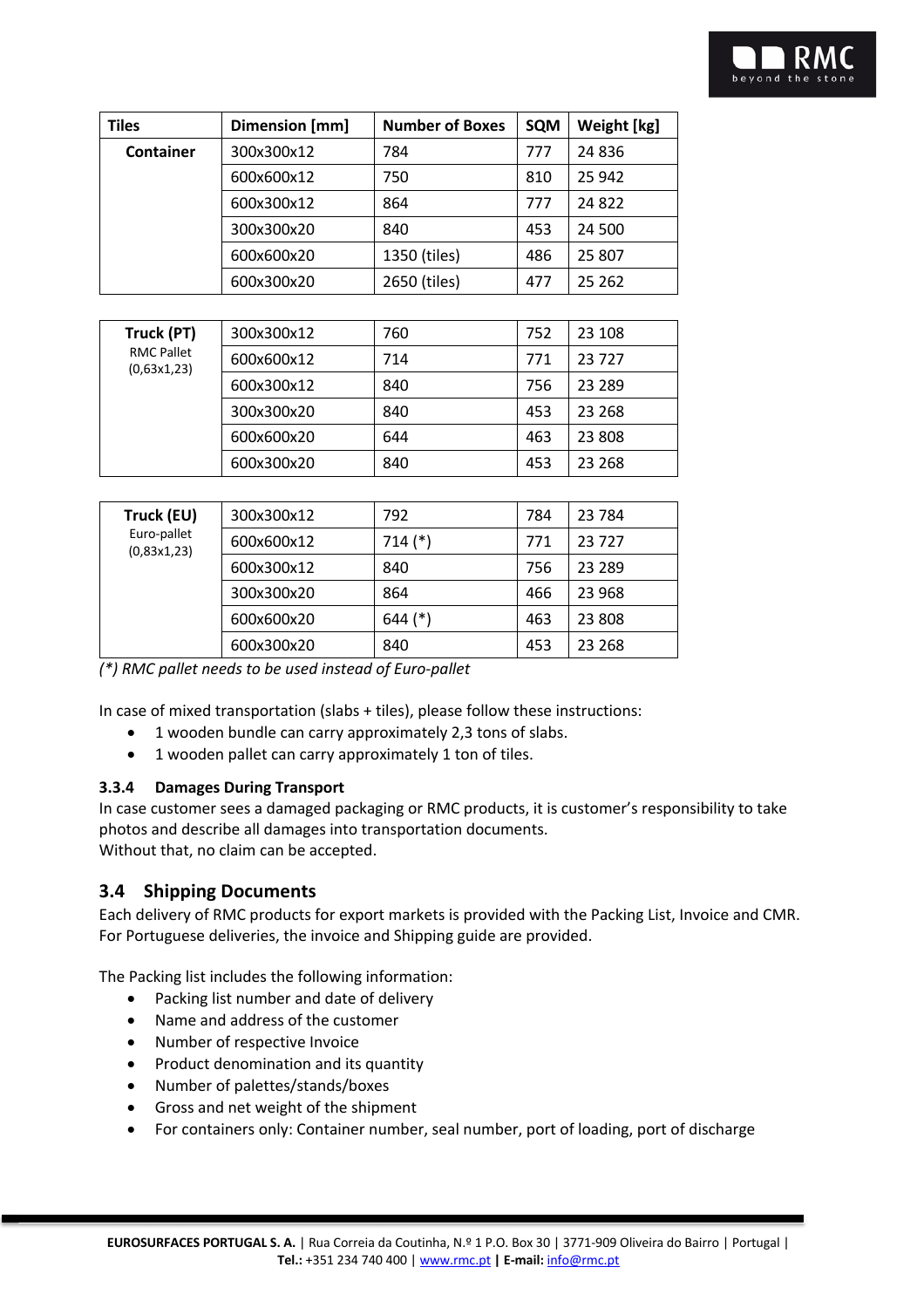| <b>Tiles</b> | Dimension [mm] | <b>Number of Boxes</b> | <b>SQM</b> | Weight [kg] |
|--------------|----------------|------------------------|------------|-------------|
| Container    | 300x300x12     | 784                    | 777        | 24836       |
|              | 600x600x12     | 750                    | 810        | 25 942      |
|              | 600x300x12     | 864                    | 777        | 24822       |
|              | 300x300x20     | 840                    | 453        | 24 500      |
|              | 600x600x20     | 1350 (tiles)           | 486        | 25 807      |
|              | 600x300x20     | 2650 (tiles)           | 477        | 25 262      |

| Truck (PT)                       | 300x300x12 | 760 | 752 | 23 108   |
|----------------------------------|------------|-----|-----|----------|
| <b>RMC Pallet</b><br>(0.63x1.23) | 600x600x12 | 714 | 771 | 23727    |
|                                  | 600x300x12 | 840 | 756 | 23 2 8 9 |
|                                  | 300x300x20 | 840 | 453 | 23 2 68  |
|                                  | 600x600x20 | 644 | 463 | 23 808   |
|                                  | 600x300x20 | 840 | 453 | 23 2 68  |

| Truck (EU)                 | 300x300x12 | 792         | 784 | 23 7 84  |
|----------------------------|------------|-------------|-----|----------|
| Euro-pallet<br>(0,83x1,23) | 600x600x12 | $714$ $(*)$ | 771 | 23727    |
|                            | 600x300x12 | 840         | 756 | 23 2 8 9 |
|                            | 300x300x20 | 864         | 466 | 23 968   |
|                            | 600x600x20 | $644$ (*)   | 463 | 23 808   |
|                            | 600x300x20 | 840         | 453 | 23 2 68  |

*(\*) RMC pallet needs to be used instead of Euro-pallet*

In case of mixed transportation (slabs + tiles), please follow these instructions:

- 1 wooden bundle can carry approximately 2,3 tons of slabs.
- 1 wooden pallet can carry approximately 1 ton of tiles.

#### **3.3.4 Damages During Transport**

In case customer sees a damaged packaging or RMC products, it is customer's responsibility to take photos and describe all damages into transportation documents. Without that, no claim can be accepted.

## **3.4 Shipping Documents**

Each delivery of RMC products for export markets is provided with the Packing List, Invoice and CMR. For Portuguese deliveries, the invoice and Shipping guide are provided.

The Packing list includes the following information:

- Packing list number and date of delivery
- Name and address of the customer
- Number of respective Invoice
- Product denomination and its quantity
- Number of palettes/stands/boxes
- Gross and net weight of the shipment
- For containers only: Container number, seal number, port of loading, port of discharge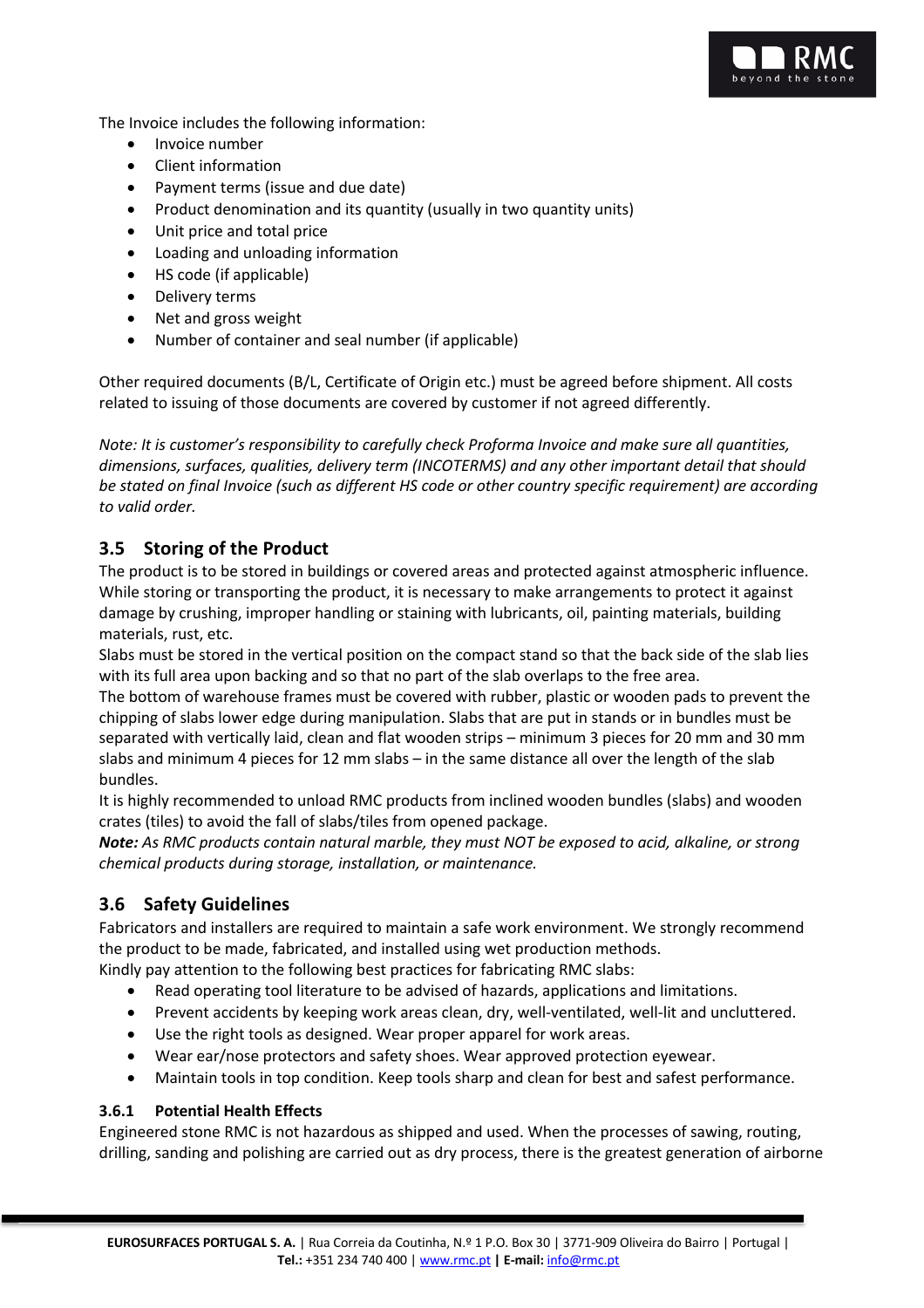

The Invoice includes the following information:

- Invoice number
- Client information
- Payment terms (issue and due date)
- Product denomination and its quantity (usually in two quantity units)
- Unit price and total price
- Loading and unloading information
- HS code (if applicable)
- Delivery terms
- Net and gross weight
- Number of container and seal number (if applicable)

Other required documents (B/L, Certificate of Origin etc.) must be agreed before shipment. All costs related to issuing of those documents are covered by customer if not agreed differently.

*Note: It is customer's responsibility to carefully check Proforma Invoice and make sure all quantities, dimensions, surfaces, qualities, delivery term (INCOTERMS) and any other important detail that should be stated on final Invoice (such as different HS code or other country specific requirement) are according to valid order.*

## **3.5 Storing of the Product**

The product is to be stored in buildings or covered areas and protected against atmospheric influence. While storing or transporting the product, it is necessary to make arrangements to protect it against damage by crushing, improper handling or staining with lubricants, oil, painting materials, building materials, rust, etc.

Slabs must be stored in the vertical position on the compact stand so that the back side of the slab lies with its full area upon backing and so that no part of the slab overlaps to the free area.

The bottom of warehouse frames must be covered with rubber, plastic or wooden pads to prevent the chipping of slabs lower edge during manipulation. Slabs that are put in stands or in bundles must be separated with vertically laid, clean and flat wooden strips – minimum 3 pieces for 20 mm and 30 mm slabs and minimum 4 pieces for 12 mm slabs – in the same distance all over the length of the slab bundles.

It is highly recommended to unload RMC products from inclined wooden bundles (slabs) and wooden crates (tiles) to avoid the fall of slabs/tiles from opened package.

*Note: As RMC products contain natural marble, they must NOT be exposed to acid, alkaline, or strong chemical products during storage, installation, or maintenance.*

## **3.6 Safety Guidelines**

Fabricators and installers are required to maintain a safe work environment. We strongly recommend the product to be made, fabricated, and installed using wet production methods.

Kindly pay attention to the following best practices for fabricating RMC slabs:

- Read operating tool literature to be advised of hazards, applications and limitations.
- Prevent accidents by keeping work areas clean, dry, well-ventilated, well-lit and uncluttered.
- Use the right tools as designed. Wear proper apparel for work areas.
- Wear ear/nose protectors and safety shoes. Wear approved protection eyewear.
- Maintain tools in top condition. Keep tools sharp and clean for best and safest performance.

#### **3.6.1 Potential Health Effects**

Engineered stone RMC is not hazardous as shipped and used. When the processes of sawing, routing, drilling, sanding and polishing are carried out as dry process, there is the greatest generation of airborne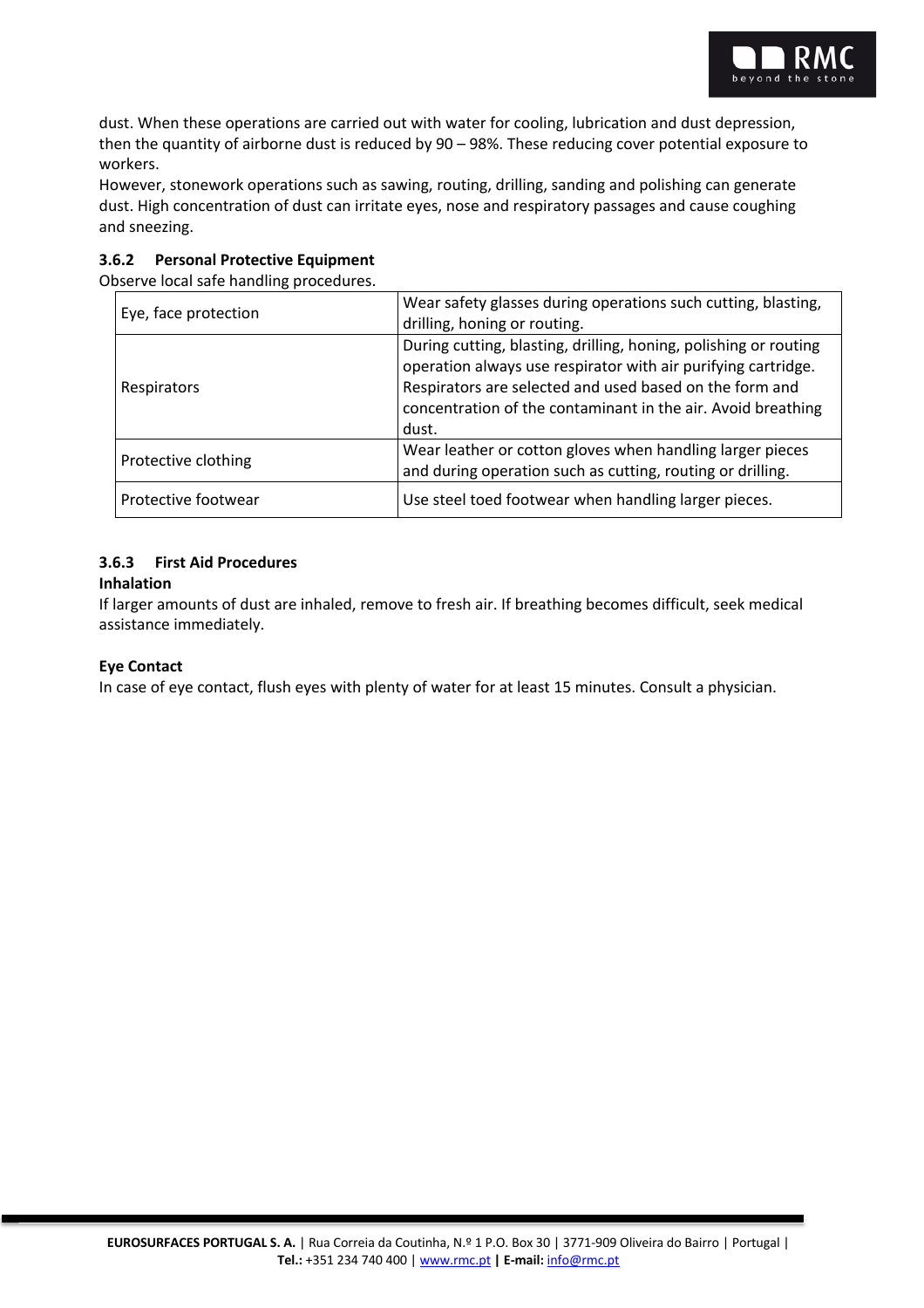

dust. When these operations are carried out with water for cooling, lubrication and dust depression, then the quantity of airborne dust is reduced by 90 – 98%. These reducing cover potential exposure to workers.

However, stonework operations such as sawing, routing, drilling, sanding and polishing can generate dust. High concentration of dust can irritate eyes, nose and respiratory passages and cause coughing and sneezing.

#### **3.6.2 Personal Protective Equipment**

Observe local safe handling procedures.

| Eye, face protection | Wear safety glasses during operations such cutting, blasting,<br>drilling, honing or routing.                                                                                                                                                                         |  |  |
|----------------------|-----------------------------------------------------------------------------------------------------------------------------------------------------------------------------------------------------------------------------------------------------------------------|--|--|
| Respirators          | During cutting, blasting, drilling, honing, polishing or routing<br>operation always use respirator with air purifying cartridge.<br>Respirators are selected and used based on the form and<br>concentration of the contaminant in the air. Avoid breathing<br>dust. |  |  |
| Protective clothing  | Wear leather or cotton gloves when handling larger pieces<br>and during operation such as cutting, routing or drilling.                                                                                                                                               |  |  |
| Protective footwear  | Use steel toed footwear when handling larger pieces.                                                                                                                                                                                                                  |  |  |

## **3.6.3 First Aid Procedures**

#### **Inhalation**

If larger amounts of dust are inhaled, remove to fresh air. If breathing becomes difficult, seek medical assistance immediately.

#### **Eye Contact**

In case of eye contact, flush eyes with plenty of water for at least 15 minutes. Consult a physician.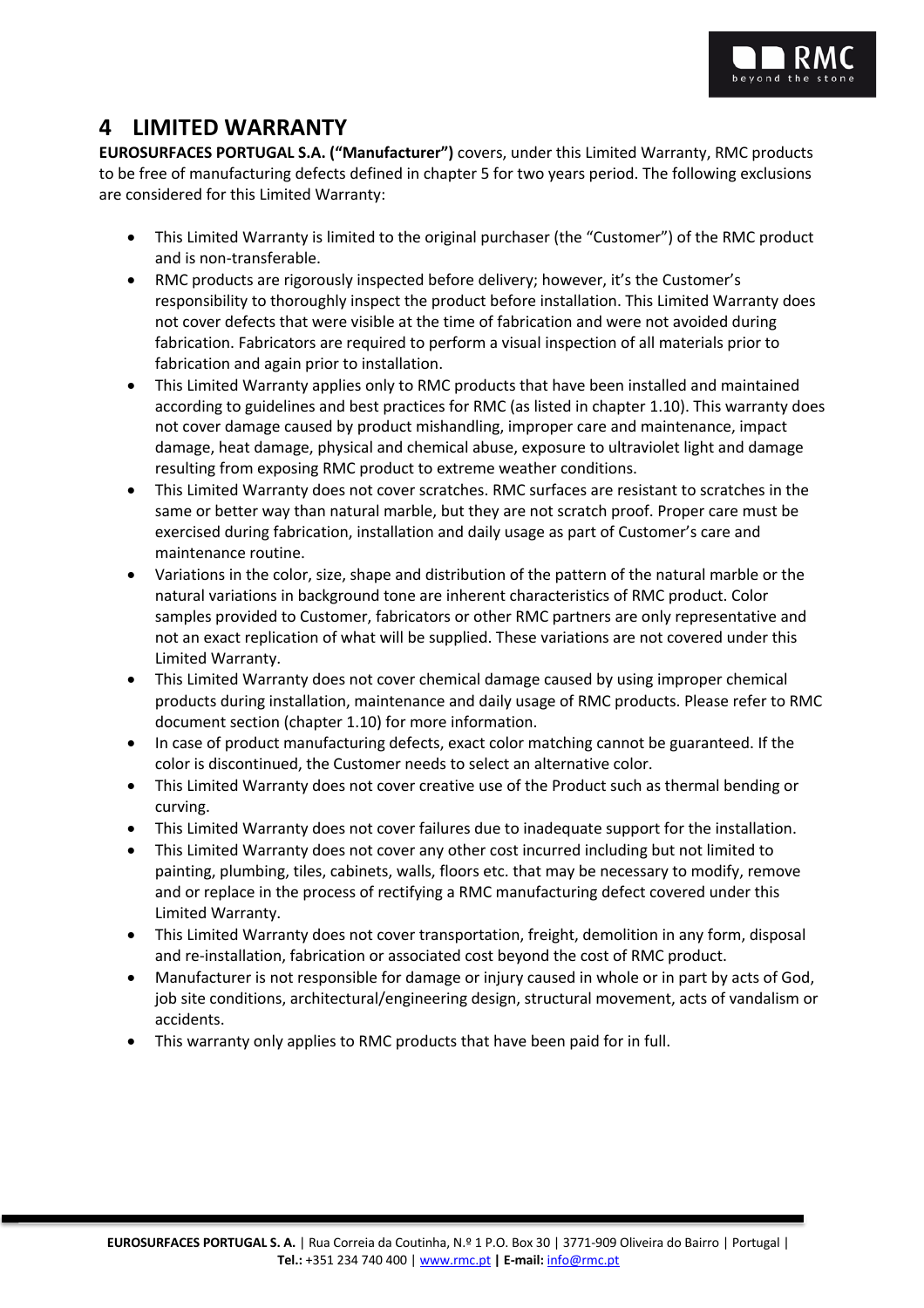

# **4 LIMITED WARRANTY**

**EUROSURFACES PORTUGAL S.A. ("Manufacturer")** covers, under this Limited Warranty, RMC products to be free of manufacturing defects defined in chapter 5 for two years period. The following exclusions are considered for this Limited Warranty:

- This Limited Warranty is limited to the original purchaser (the "Customer") of the RMC product and is non-transferable.
- RMC products are rigorously inspected before delivery; however, it's the Customer's responsibility to thoroughly inspect the product before installation. This Limited Warranty does not cover defects that were visible at the time of fabrication and were not avoided during fabrication. Fabricators are required to perform a visual inspection of all materials prior to fabrication and again prior to installation.
- This Limited Warranty applies only to RMC products that have been installed and maintained according to guidelines and best practices for RMC (as listed in chapter 1.10). This warranty does not cover damage caused by product mishandling, improper care and maintenance, impact damage, heat damage, physical and chemical abuse, exposure to ultraviolet light and damage resulting from exposing RMC product to extreme weather conditions.
- This Limited Warranty does not cover scratches. RMC surfaces are resistant to scratches in the same or better way than natural marble, but they are not scratch proof. Proper care must be exercised during fabrication, installation and daily usage as part of Customer's care and maintenance routine.
- Variations in the color, size, shape and distribution of the pattern of the natural marble or the natural variations in background tone are inherent characteristics of RMC product. Color samples provided to Customer, fabricators or other RMC partners are only representative and not an exact replication of what will be supplied. These variations are not covered under this Limited Warranty.
- This Limited Warranty does not cover chemical damage caused by using improper chemical products during installation, maintenance and daily usage of RMC products. Please refer to RMC document section (chapter 1.10) for more information.
- In case of product manufacturing defects, exact color matching cannot be guaranteed. If the color is discontinued, the Customer needs to select an alternative color.
- This Limited Warranty does not cover creative use of the Product such as thermal bending or curving.
- This Limited Warranty does not cover failures due to inadequate support for the installation.
- This Limited Warranty does not cover any other cost incurred including but not limited to painting, plumbing, tiles, cabinets, walls, floors etc. that may be necessary to modify, remove and or replace in the process of rectifying a RMC manufacturing defect covered under this Limited Warranty.
- This Limited Warranty does not cover transportation, freight, demolition in any form, disposal and re-installation, fabrication or associated cost beyond the cost of RMC product.
- Manufacturer is not responsible for damage or injury caused in whole or in part by acts of God, job site conditions, architectural/engineering design, structural movement, acts of vandalism or accidents.
- This warranty only applies to RMC products that have been paid for in full.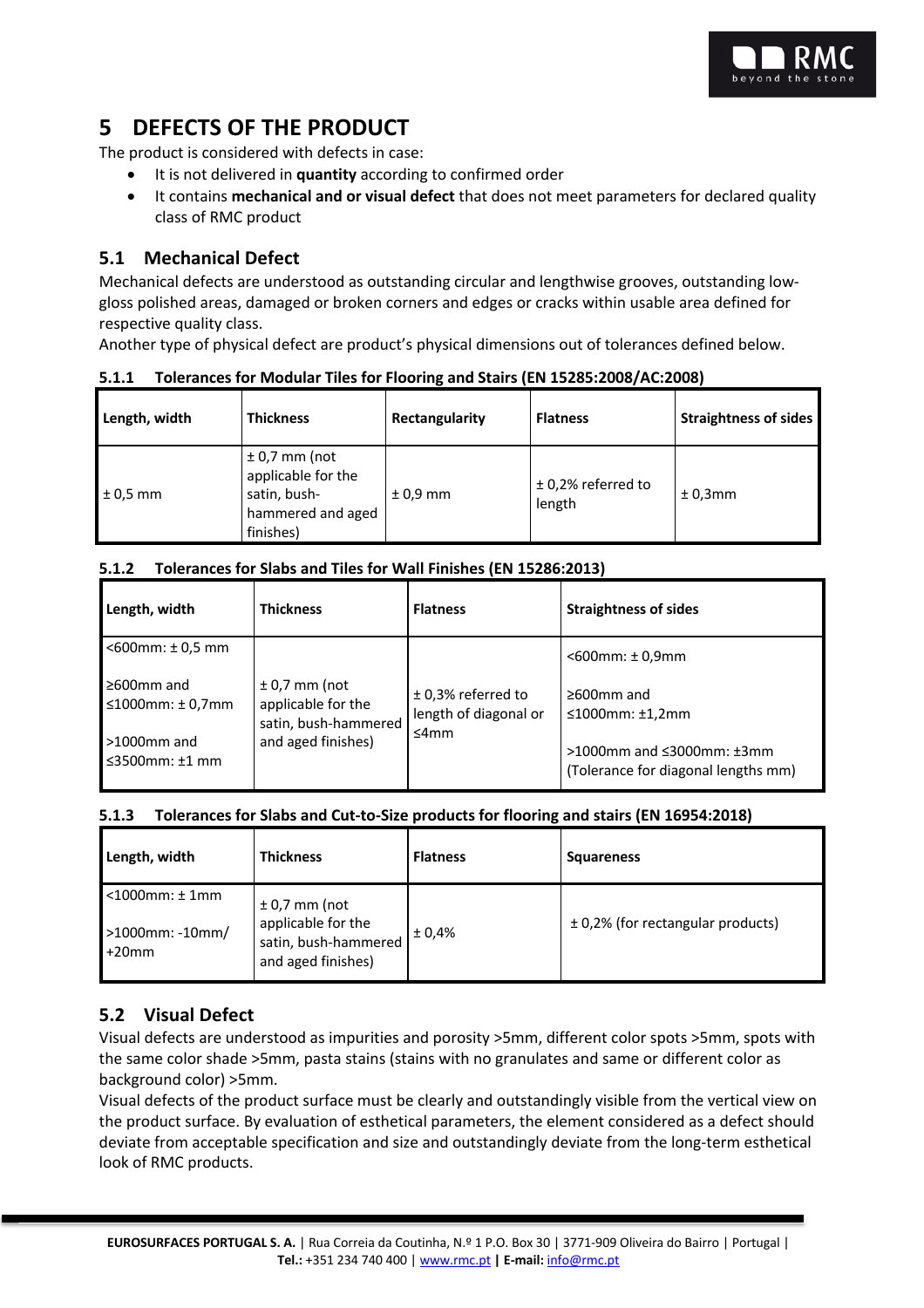

# **5 DEFECTS OF THE PRODUCT**

The product is considered with defects in case:

- It is not delivered in **quantity** according to confirmed order
- It contains **mechanical and or visual defect** that does not meet parameters for declared quality class of RMC product

## **5.1 Mechanical Defect**

Mechanical defects are understood as outstanding circular and lengthwise grooves, outstanding lowgloss polished areas, damaged or broken corners and edges or cracks within usable area defined for respective quality class.

Another type of physical defect are product's physical dimensions out of tolerances defined below.

#### **5.1.1 Tolerances for Modular Tiles for Flooring and Stairs (EN 15285:2008/AC:2008)**

| Length, width | <b>Thickness</b>                                                                        | Rectangularity | <b>Flatness</b>                | <b>Straightness of sides</b> |
|---------------|-----------------------------------------------------------------------------------------|----------------|--------------------------------|------------------------------|
| $1\pm0.5$ mm  | $± 0,7$ mm (not<br>applicable for the<br>satin, bush-<br>hammered and aged<br>finishes) | $± 0.9$ mm     | $±$ 0,2% referred to<br>length | ±0,3mm                       |

#### **5.1.2 Tolerances for Slabs and Tiles for Wall Finishes (EN 15286:2013)**

| Length, width                               | <b>Thickness</b>                                                                    | <b>Flatness</b>                                       | <b>Straightness of sides</b>                                                   |
|---------------------------------------------|-------------------------------------------------------------------------------------|-------------------------------------------------------|--------------------------------------------------------------------------------|
| $<$ 600mm: $\pm$ 0.5 mm                     |                                                                                     |                                                       | $<$ 600 $mm:$ ± 0,9 $mm$                                                       |
| $\geq 600$ mm and<br>≤1000mm: $± 0,7$ mm    | $± 0.7$ mm (not<br>applicable for the<br>satin, bush-hammered<br>and aged finishes) | $±$ 0.3% referred to<br>length of diagonal or<br>≤4mm | $\geq 600$ mm and<br>$\leq$ 1000mm: $\pm$ 1,2mm                                |
| $>1000$ mm and<br>$\leq$ 3500mm: $\pm$ 1 mm |                                                                                     |                                                       | $>1000$ mm and $\leq$ 3000mm: $\pm$ 3mm<br>(Tolerance for diagonal lengths mm) |

#### **5.1.3 Tolerances for Slabs and Cut-to-Size products for flooring and stairs (EN 16954:2018)**

| Length, width                  | <b>Thickness</b>                                                 | <b>Flatness</b> | <b>Squareness</b>                     |
|--------------------------------|------------------------------------------------------------------|-----------------|---------------------------------------|
| $<$ 1000 $mm:$ ± 1 $mm$        | $± 0.7$ mm (not                                                  |                 |                                       |
| $>1000$ mm: -10mm/<br>$+20$ mm | applicable for the<br>satin, bush-hammered<br>and aged finishes) | $\pm 0.4\%$     | $\pm$ 0,2% (for rectangular products) |

## **5.2 Visual Defect**

Visual defects are understood as impurities and porosity >5mm, different color spots >5mm, spots with the same color shade >5mm, pasta stains (stains with no granulates and same or different color as background color) >5mm.

Visual defects of the product surface must be clearly and outstandingly visible from the vertical view on the product surface. By evaluation of esthetical parameters, the element considered as a defect should deviate from acceptable specification and size and outstandingly deviate from the long-term esthetical look of RMC products.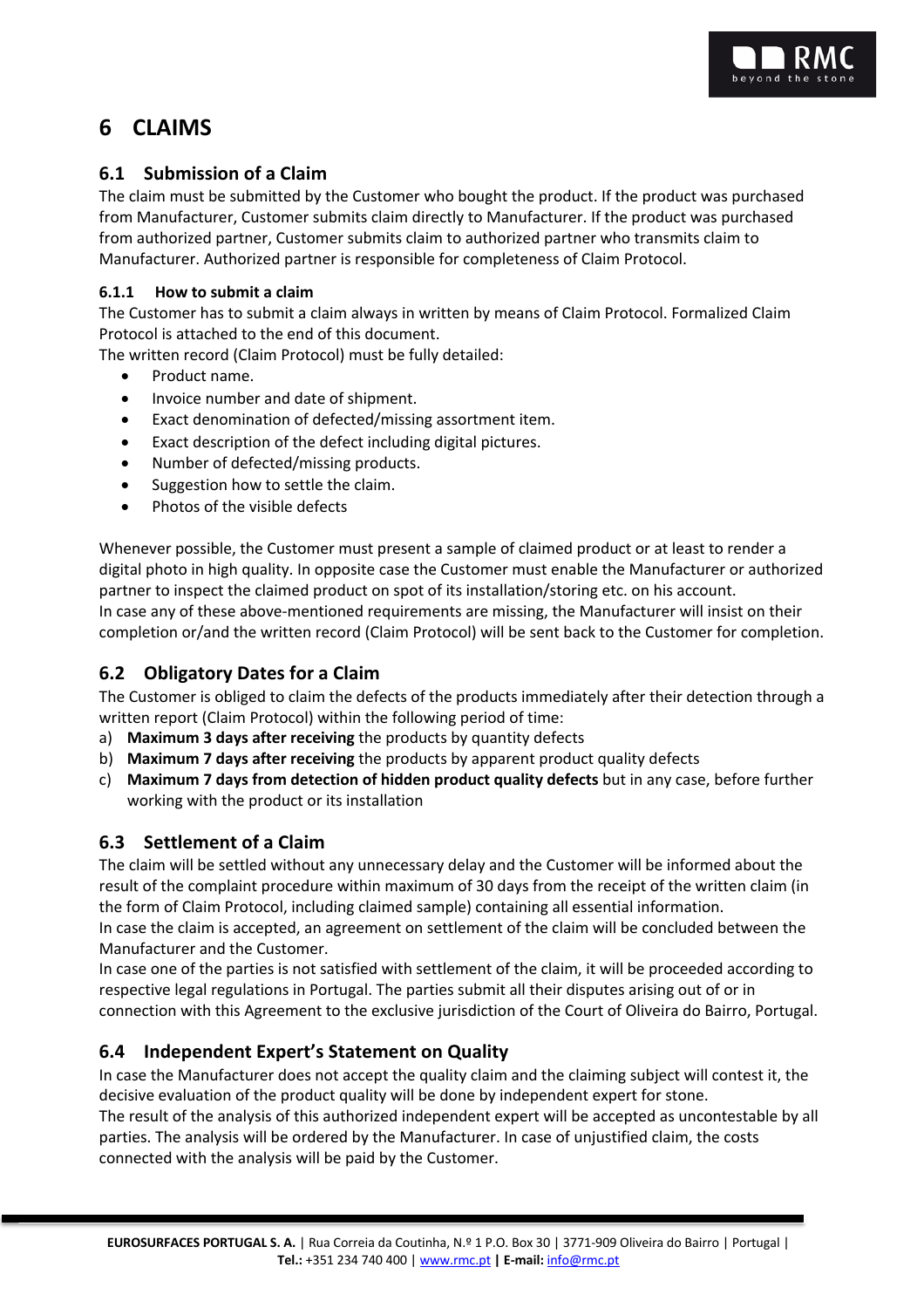

# **6 CLAIMS**

## **6.1 Submission of a Claim**

The claim must be submitted by the Customer who bought the product. If the product was purchased from Manufacturer, Customer submits claim directly to Manufacturer. If the product was purchased from authorized partner, Customer submits claim to authorized partner who transmits claim to Manufacturer. Authorized partner is responsible for completeness of Claim Protocol.

#### **6.1.1 How to submit a claim**

The Customer has to submit a claim always in written by means of Claim Protocol. Formalized Claim Protocol is attached to the end of this document.

The written record (Claim Protocol) must be fully detailed:

- Product name.
- Invoice number and date of shipment.
- Exact denomination of defected/missing assortment item.
- Exact description of the defect including digital pictures.
- Number of defected/missing products.
- Suggestion how to settle the claim.
- Photos of the visible defects

Whenever possible, the Customer must present a sample of claimed product or at least to render a digital photo in high quality. In opposite case the Customer must enable the Manufacturer or authorized partner to inspect the claimed product on spot of its installation/storing etc. on his account. In case any of these above-mentioned requirements are missing, the Manufacturer will insist on their completion or/and the written record (Claim Protocol) will be sent back to the Customer for completion.

## **6.2 Obligatory Dates for a Claim**

The Customer is obliged to claim the defects of the products immediately after their detection through a written report (Claim Protocol) within the following period of time:

- a) **Maximum 3 days after receiving** the products by quantity defects
- b) **Maximum 7 days after receiving** the products by apparent product quality defects
- c) **Maximum 7 days from detection of hidden product quality defects** but in any case, before further working with the product or its installation

## **6.3 Settlement of a Claim**

The claim will be settled without any unnecessary delay and the Customer will be informed about the result of the complaint procedure within maximum of 30 days from the receipt of the written claim (in the form of Claim Protocol, including claimed sample) containing all essential information.

In case the claim is accepted, an agreement on settlement of the claim will be concluded between the Manufacturer and the Customer.

In case one of the parties is not satisfied with settlement of the claim, it will be proceeded according to respective legal regulations in Portugal. The parties submit all their disputes arising out of or in connection with this Agreement to the exclusive jurisdiction of the Court of Oliveira do Bairro, Portugal.

## **6.4 Independent Expert's Statement on Quality**

In case the Manufacturer does not accept the quality claim and the claiming subject will contest it, the decisive evaluation of the product quality will be done by independent expert for stone.

The result of the analysis of this authorized independent expert will be accepted as uncontestable by all parties. The analysis will be ordered by the Manufacturer. In case of unjustified claim, the costs connected with the analysis will be paid by the Customer.